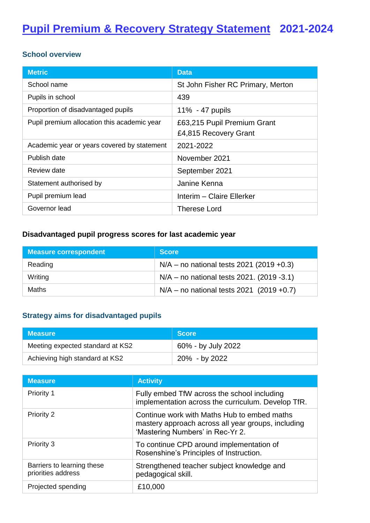#### **School overview**

| <b>Metric</b>                               | <b>Data</b>                       |
|---------------------------------------------|-----------------------------------|
| School name                                 | St John Fisher RC Primary, Merton |
| Pupils in school                            | 439                               |
| Proportion of disadvantaged pupils          | $11\% - 47$ pupils                |
| Pupil premium allocation this academic year | £63,215 Pupil Premium Grant       |
|                                             | £4,815 Recovery Grant             |
| Academic year or years covered by statement | 2021-2022                         |
| Publish date                                | November 2021                     |
| Review date                                 | September 2021                    |
| Statement authorised by                     | Janine Kenna                      |
| Pupil premium lead                          | Interim - Claire Ellerker         |
| Governor lead                               | <b>Therese Lord</b>               |

## **Disadvantaged pupil progress scores for last academic year**

| Measure correspondent | <b>Score</b>                                  |
|-----------------------|-----------------------------------------------|
| Reading               | $N/A$ – no national tests 2021 (2019 +0.3)    |
| Writing               | $N/A$ – no national tests 2021. (2019 -3.1)   |
| Maths                 | $N/A - no$ no national tests 2021 (2019 +0.7) |

# **Strategy aims for disadvantaged pupils**

| <b>Measure</b>                   | <b>Score</b>       |
|----------------------------------|--------------------|
| Meeting expected standard at KS2 | 60% - by July 2022 |
| Achieving high standard at KS2   | 20% - by 2022      |

| <b>Measure</b>                                   | <b>Activity</b>                                                                                                                       |
|--------------------------------------------------|---------------------------------------------------------------------------------------------------------------------------------------|
| <b>Priority 1</b>                                | Fully embed TfW across the school including<br>implementation across the curriculum. Develop TfR.                                     |
| Priority 2                                       | Continue work with Maths Hub to embed maths<br>mastery approach across all year groups, including<br>'Mastering Numbers' in Rec-Yr 2. |
| Priority 3                                       | To continue CPD around implementation of<br>Rosenshine's Principles of Instruction.                                                   |
| Barriers to learning these<br>priorities address | Strengthened teacher subject knowledge and<br>pedagogical skill.                                                                      |
| Projected spending                               | £10,000                                                                                                                               |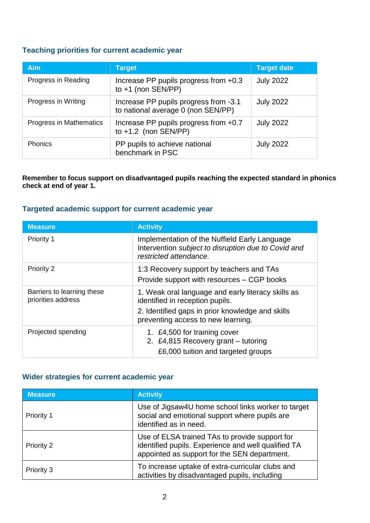#### **Teaching priorities for current academic year**

| <b>Aim</b>              | <b>Target</b>                                                               | <b>Target date</b> |
|-------------------------|-----------------------------------------------------------------------------|--------------------|
| Progress in Reading     | Increase PP pupils progress from +0.3<br>to $+1$ (non SEN/PP)               | <b>July 2022</b>   |
| Progress in Writing     | Increase PP pupils progress from -3.1<br>to national average 0 (non SEN/PP) | <b>July 2022</b>   |
| Progress in Mathematics | Increase PP pupils progress from +0.7<br>to $+1.2$ (non SEN/PP)             | <b>July 2022</b>   |
| Phonics                 | PP pupils to achieve national<br>benchmark in PSC                           | <b>July 2022</b>   |

**Remember to focus support on disadvantaged pupils reaching the expected standard in phonics check at end of year 1.**

### **Targeted academic support for current academic year**

| <b>Measure</b>                                   | <b>Activity</b>                                                                                                                                                                 |
|--------------------------------------------------|---------------------------------------------------------------------------------------------------------------------------------------------------------------------------------|
| Priority 1                                       | Implementation of the Nuffield Early Language<br>Intervention subject to disruption due to Covid and<br>restricted attendance.                                                  |
| Priority 2                                       | 1:3 Recovery support by teachers and TAs<br>Provide support with resources – CGP books                                                                                          |
| Barriers to learning these<br>priorities address | 1. Weak oral language and early literacy skills as<br>identified in reception pupils.<br>2. Identified gaps in prior knowledge and skills<br>preventing access to new learning. |
| Projected spending                               | 1. £4,500 for training cover<br>2. £4,815 Recovery grant - tutoring<br>£6,000 tuition and targeted groups                                                                       |

#### **Wider strategies for current academic year**

| <b>Measure</b>    | <b>Activity</b>                                                                                                                                       |
|-------------------|-------------------------------------------------------------------------------------------------------------------------------------------------------|
| <b>Priority 1</b> | Use of Jigsaw4U home school links worker to target<br>social and emotional support where pupils are<br>identified as in need.                         |
| Priority 2        | Use of ELSA trained TAs to provide support for<br>identified pupils. Experience and well qualified TA<br>appointed as support for the SEN department. |
| Priority 3        | To increase uptake of extra-curricular clubs and<br>activities by disadvantaged pupils, including                                                     |